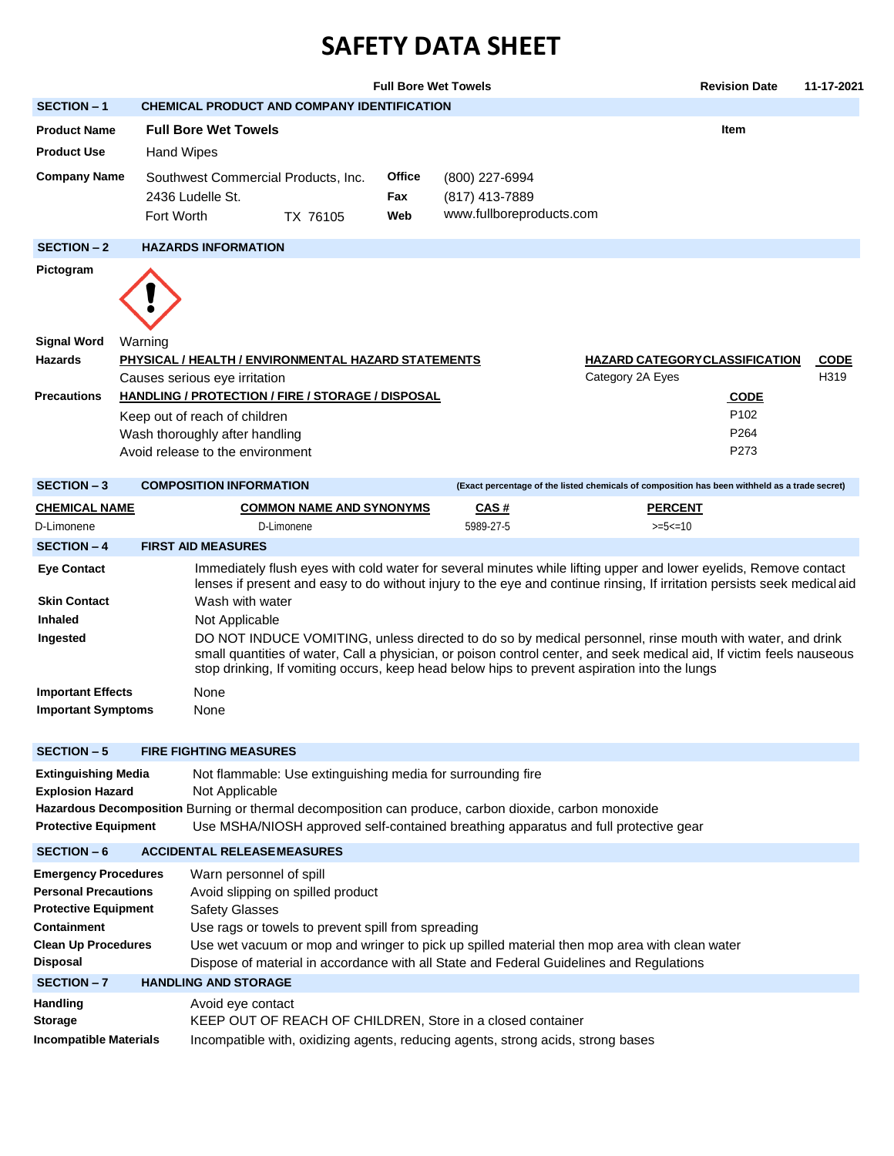## **SAFETY DATA SHEET**

|                                                                                                                                                                                                                                                                                                                                                                                                                                                                                              |                   |                                                                                                     |                                                                                                                 | <b>Full Bore Wet Towels</b> |                                                                                                                                                                                                                                                                                                                                                                                                                                                                                                                                                                                   |                                                                                               | <b>Revision Date</b>                                | 11-17-2021          |
|----------------------------------------------------------------------------------------------------------------------------------------------------------------------------------------------------------------------------------------------------------------------------------------------------------------------------------------------------------------------------------------------------------------------------------------------------------------------------------------------|-------------------|-----------------------------------------------------------------------------------------------------|-----------------------------------------------------------------------------------------------------------------|-----------------------------|-----------------------------------------------------------------------------------------------------------------------------------------------------------------------------------------------------------------------------------------------------------------------------------------------------------------------------------------------------------------------------------------------------------------------------------------------------------------------------------------------------------------------------------------------------------------------------------|-----------------------------------------------------------------------------------------------|-----------------------------------------------------|---------------------|
| <b>SECTION - 1</b>                                                                                                                                                                                                                                                                                                                                                                                                                                                                           |                   |                                                                                                     | CHEMICAL PRODUCT AND COMPANY IDENTIFICATION                                                                     |                             |                                                                                                                                                                                                                                                                                                                                                                                                                                                                                                                                                                                   |                                                                                               |                                                     |                     |
| <b>Product Name</b>                                                                                                                                                                                                                                                                                                                                                                                                                                                                          |                   | <b>Full Bore Wet Towels</b>                                                                         |                                                                                                                 |                             |                                                                                                                                                                                                                                                                                                                                                                                                                                                                                                                                                                                   |                                                                                               | <b>Item</b>                                         |                     |
| <b>Product Use</b>                                                                                                                                                                                                                                                                                                                                                                                                                                                                           | <b>Hand Wipes</b> |                                                                                                     |                                                                                                                 |                             |                                                                                                                                                                                                                                                                                                                                                                                                                                                                                                                                                                                   |                                                                                               |                                                     |                     |
| <b>Company Name</b>                                                                                                                                                                                                                                                                                                                                                                                                                                                                          | Fort Worth        | Southwest Commercial Products, Inc.<br>2436 Ludelle St.                                             | TX 76105                                                                                                        | Office<br>Fax<br>Web        | (800) 227-6994<br>(817) 413-7889<br>www.fullboreproducts.com                                                                                                                                                                                                                                                                                                                                                                                                                                                                                                                      |                                                                                               |                                                     |                     |
| <b>SECTION - 2</b>                                                                                                                                                                                                                                                                                                                                                                                                                                                                           |                   | <b>HAZARDS INFORMATION</b>                                                                          |                                                                                                                 |                             |                                                                                                                                                                                                                                                                                                                                                                                                                                                                                                                                                                                   |                                                                                               |                                                     |                     |
| Pictogram                                                                                                                                                                                                                                                                                                                                                                                                                                                                                    |                   |                                                                                                     |                                                                                                                 |                             |                                                                                                                                                                                                                                                                                                                                                                                                                                                                                                                                                                                   |                                                                                               |                                                     |                     |
| <b>Signal Word</b><br><b>Hazards</b><br><b>Precautions</b>                                                                                                                                                                                                                                                                                                                                                                                                                                   | Warning           | Causes serious eye irritation                                                                       | PHYSICAL / HEALTH / ENVIRONMENTAL HAZARD STATEMENTS<br><b>HANDLING / PROTECTION / FIRE / STORAGE / DISPOSAL</b> |                             |                                                                                                                                                                                                                                                                                                                                                                                                                                                                                                                                                                                   | Category 2A Eyes                                                                              | <b>HAZARD CATEGORYCLASSIFICATION</b><br><b>CODE</b> | <b>CODE</b><br>H319 |
|                                                                                                                                                                                                                                                                                                                                                                                                                                                                                              |                   | Keep out of reach of children<br>Wash thoroughly after handling<br>Avoid release to the environment |                                                                                                                 |                             |                                                                                                                                                                                                                                                                                                                                                                                                                                                                                                                                                                                   |                                                                                               | P <sub>102</sub><br>P <sub>264</sub><br>P273        |                     |
| <b>SECTION - 3</b>                                                                                                                                                                                                                                                                                                                                                                                                                                                                           |                   | <b>COMPOSITION INFORMATION</b>                                                                      |                                                                                                                 |                             |                                                                                                                                                                                                                                                                                                                                                                                                                                                                                                                                                                                   | (Exact percentage of the listed chemicals of composition has been withheld as a trade secret) |                                                     |                     |
| <b>CHEMICAL NAME</b>                                                                                                                                                                                                                                                                                                                                                                                                                                                                         |                   |                                                                                                     | <b>COMMON NAME AND SYNONYMS</b>                                                                                 |                             | <u>CAS#</u>                                                                                                                                                                                                                                                                                                                                                                                                                                                                                                                                                                       | <b>PERCENT</b>                                                                                |                                                     |                     |
| D-Limonene                                                                                                                                                                                                                                                                                                                                                                                                                                                                                   |                   |                                                                                                     | D-Limonene                                                                                                      |                             | 5989-27-5                                                                                                                                                                                                                                                                                                                                                                                                                                                                                                                                                                         | $>=5<=10$                                                                                     |                                                     |                     |
| <b>SECTION - 4</b>                                                                                                                                                                                                                                                                                                                                                                                                                                                                           |                   | <b>FIRST AID MEASURES</b>                                                                           |                                                                                                                 |                             |                                                                                                                                                                                                                                                                                                                                                                                                                                                                                                                                                                                   |                                                                                               |                                                     |                     |
| <b>Eye Contact</b><br><b>Skin Contact</b><br><b>Inhaled</b><br>Ingested                                                                                                                                                                                                                                                                                                                                                                                                                      |                   | Wash with water<br>Not Applicable                                                                   |                                                                                                                 |                             | Immediately flush eyes with cold water for several minutes while lifting upper and lower eyelids, Remove contact<br>lenses if present and easy to do without injury to the eye and continue rinsing, If irritation persists seek medical aid<br>DO NOT INDUCE VOMITING, unless directed to do so by medical personnel, rinse mouth with water, and drink<br>small quantities of water, Call a physician, or poison control center, and seek medical aid, If victim feels nauseous<br>stop drinking, If vomiting occurs, keep head below hips to prevent aspiration into the lungs |                                                                                               |                                                     |                     |
| <b>Important Effects</b><br><b>Important Symptoms</b>                                                                                                                                                                                                                                                                                                                                                                                                                                        |                   | None<br>None                                                                                        |                                                                                                                 |                             |                                                                                                                                                                                                                                                                                                                                                                                                                                                                                                                                                                                   |                                                                                               |                                                     |                     |
| <b>SECTION - 5</b>                                                                                                                                                                                                                                                                                                                                                                                                                                                                           |                   | <b>FIRE FIGHTING MEASURES</b>                                                                       |                                                                                                                 |                             |                                                                                                                                                                                                                                                                                                                                                                                                                                                                                                                                                                                   |                                                                                               |                                                     |                     |
| <b>Extinguishing Media</b><br><b>Explosion Hazard</b><br><b>Protective Equipment</b>                                                                                                                                                                                                                                                                                                                                                                                                         |                   | Not Applicable                                                                                      |                                                                                                                 |                             | Not flammable: Use extinguishing media for surrounding fire<br>Hazardous Decomposition Burning or thermal decomposition can produce, carbon dioxide, carbon monoxide<br>Use MSHA/NIOSH approved self-contained breathing apparatus and full protective gear                                                                                                                                                                                                                                                                                                                       |                                                                                               |                                                     |                     |
| <b>SECTION - 6</b>                                                                                                                                                                                                                                                                                                                                                                                                                                                                           |                   | <b>ACCIDENTAL RELEASEMEASURES</b>                                                                   |                                                                                                                 |                             |                                                                                                                                                                                                                                                                                                                                                                                                                                                                                                                                                                                   |                                                                                               |                                                     |                     |
| <b>Emergency Procedures</b><br>Warn personnel of spill<br><b>Personal Precautions</b><br>Avoid slipping on spilled product<br><b>Protective Equipment</b><br><b>Safety Glasses</b><br>Use rags or towels to prevent spill from spreading<br>Containment<br>Use wet vacuum or mop and wringer to pick up spilled material then mop area with clean water<br><b>Clean Up Procedures</b><br>Disposal<br>Dispose of material in accordance with all State and Federal Guidelines and Regulations |                   |                                                                                                     |                                                                                                                 |                             |                                                                                                                                                                                                                                                                                                                                                                                                                                                                                                                                                                                   |                                                                                               |                                                     |                     |
| <b>SECTION-7</b>                                                                                                                                                                                                                                                                                                                                                                                                                                                                             |                   | <b>HANDLING AND STORAGE</b>                                                                         |                                                                                                                 |                             |                                                                                                                                                                                                                                                                                                                                                                                                                                                                                                                                                                                   |                                                                                               |                                                     |                     |
| <b>Handling</b><br><b>Storage</b><br><b>Incompatible Materials</b>                                                                                                                                                                                                                                                                                                                                                                                                                           |                   | Avoid eye contact                                                                                   |                                                                                                                 |                             | KEEP OUT OF REACH OF CHILDREN, Store in a closed container<br>Incompatible with, oxidizing agents, reducing agents, strong acids, strong bases                                                                                                                                                                                                                                                                                                                                                                                                                                    |                                                                                               |                                                     |                     |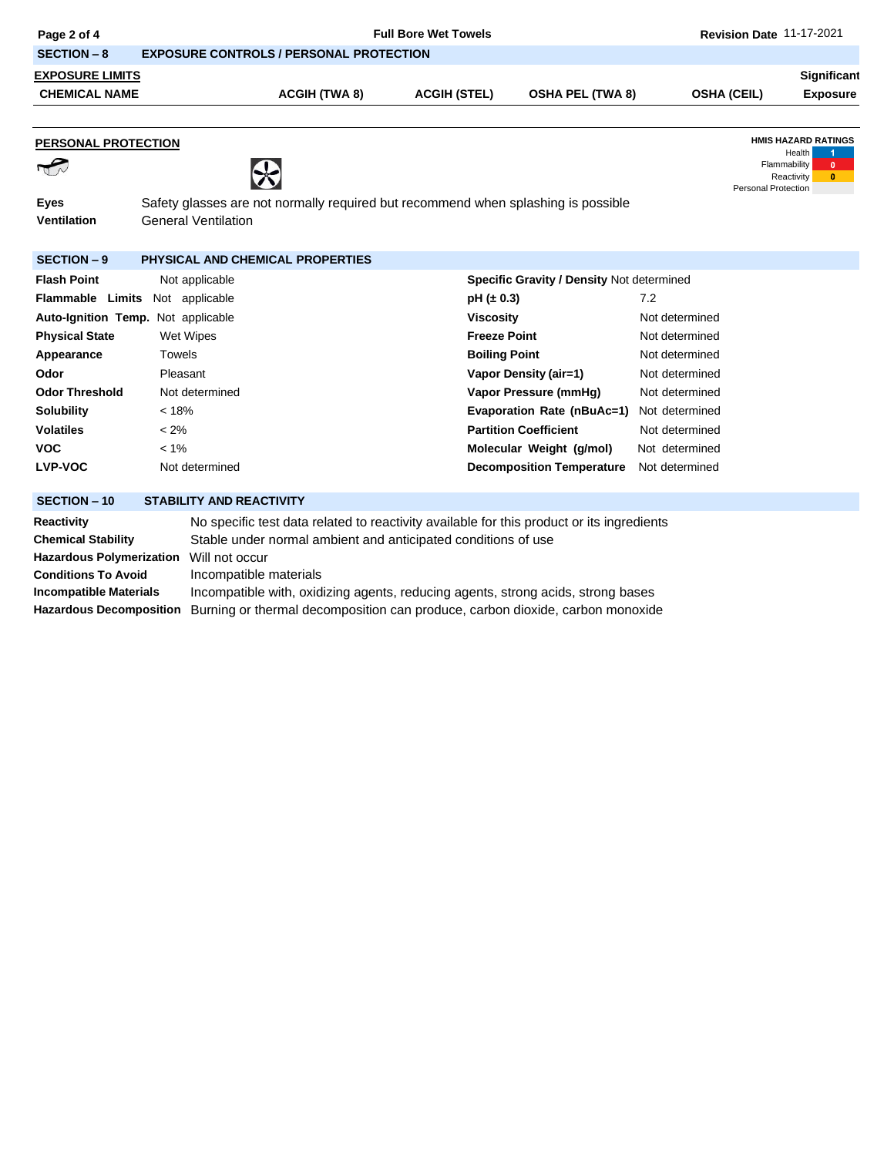| Page 2 of 4                                                                                |                                  |                                                                                                            | Revision Date 11-17-2021 |                                           |                    |                                                                           |                              |  |
|--------------------------------------------------------------------------------------------|----------------------------------|------------------------------------------------------------------------------------------------------------|--------------------------|-------------------------------------------|--------------------|---------------------------------------------------------------------------|------------------------------|--|
| <b>SECTION - 8</b>                                                                         |                                  | <b>EXPOSURE CONTROLS / PERSONAL PROTECTION</b>                                                             |                          |                                           |                    |                                                                           |                              |  |
| <b>EXPOSURE LIMITS</b>                                                                     |                                  |                                                                                                            |                          |                                           |                    |                                                                           | Significant                  |  |
| <b>CHEMICAL NAME</b>                                                                       |                                  | <b>ACGIH (TWA 8)</b>                                                                                       | <b>ACGIH (STEL)</b>      | <b>OSHA PEL (TWA 8)</b>                   | <b>OSHA (CEIL)</b> |                                                                           | <b>Exposure</b>              |  |
|                                                                                            |                                  |                                                                                                            |                          |                                           |                    |                                                                           |                              |  |
| PERSONAL PROTECTION                                                                        |                                  |                                                                                                            |                          |                                           |                    | <b>HMIS HAZARD RATINGS</b>                                                |                              |  |
| $\sqrt{2}$                                                                                 | ☆                                |                                                                                                            |                          |                                           |                    | <b>Health</b><br>Flammability<br>Reactivity<br><b>Personal Protection</b> | $\mathbf{0}$<br>$\mathbf{0}$ |  |
| <b>Eyes</b>                                                                                |                                  | Safety glasses are not normally required but recommend when splashing is possible                          |                          |                                           |                    |                                                                           |                              |  |
| Ventilation                                                                                | <b>General Ventilation</b>       |                                                                                                            |                          |                                           |                    |                                                                           |                              |  |
|                                                                                            |                                  |                                                                                                            |                          |                                           |                    |                                                                           |                              |  |
| <b>SECTION - 9</b>                                                                         | PHYSICAL AND CHEMICAL PROPERTIES |                                                                                                            |                          |                                           |                    |                                                                           |                              |  |
| <b>Flash Point</b>                                                                         | Not applicable                   |                                                                                                            |                          | Specific Gravity / Density Not determined |                    |                                                                           |                              |  |
| <b>Flammable Limits</b><br>Not applicable                                                  |                                  |                                                                                                            | $pH (\pm 0.3)$           |                                           | 7.2                |                                                                           |                              |  |
| Auto-Ignition Temp. Not applicable                                                         |                                  |                                                                                                            | <b>Viscosity</b>         |                                           | Not determined     |                                                                           |                              |  |
| <b>Physical State</b>                                                                      | Wet Wipes                        |                                                                                                            | <b>Freeze Point</b>      |                                           | Not determined     |                                                                           |                              |  |
| Appearance                                                                                 | <b>Towels</b>                    |                                                                                                            | <b>Boiling Point</b>     |                                           | Not determined     |                                                                           |                              |  |
| Odor                                                                                       | Pleasant                         |                                                                                                            |                          | Vapor Density (air=1)                     | Not determined     |                                                                           |                              |  |
| <b>Odor Threshold</b>                                                                      | Not determined                   |                                                                                                            |                          | Vapor Pressure (mmHg)                     | Not determined     |                                                                           |                              |  |
| <b>Solubility</b>                                                                          | < 18%                            |                                                                                                            |                          | <b>Evaporation Rate (nBuAc=1)</b>         | Not determined     |                                                                           |                              |  |
| <b>Volatiles</b>                                                                           | $< 2\%$                          |                                                                                                            |                          | <b>Partition Coefficient</b>              | Not determined     |                                                                           |                              |  |
| <b>VOC</b>                                                                                 | $< 1\%$                          |                                                                                                            |                          | Molecular Weight (g/mol)                  | Not determined     |                                                                           |                              |  |
| <b>LVP-VOC</b>                                                                             | Not determined                   |                                                                                                            |                          | <b>Decomposition Temperature</b>          | Not determined     |                                                                           |                              |  |
| <b>SECTION - 10</b>                                                                        | <b>STABILITY AND REACTIVITY</b>  |                                                                                                            |                          |                                           |                    |                                                                           |                              |  |
|                                                                                            |                                  |                                                                                                            |                          |                                           |                    |                                                                           |                              |  |
| Reactivity                                                                                 |                                  | No specific test data related to reactivity available for this product or its ingredients                  |                          |                                           |                    |                                                                           |                              |  |
| <b>Chemical Stability</b><br>Stable under normal ambient and anticipated conditions of use |                                  |                                                                                                            |                          |                                           |                    |                                                                           |                              |  |
| <b>Hazardous Polymerization</b><br><b>Conditions To Avoid</b>                              | Will not occur                   |                                                                                                            |                          |                                           |                    |                                                                           |                              |  |
| <b>Incompatible Materials</b>                                                              |                                  | Incompatible materials<br>Incompatible with, oxidizing agents, reducing agents, strong acids, strong bases |                          |                                           |                    |                                                                           |                              |  |

**Hazardous Decomposition** Burning or thermal decomposition can produce, carbon dioxide, carbon monoxide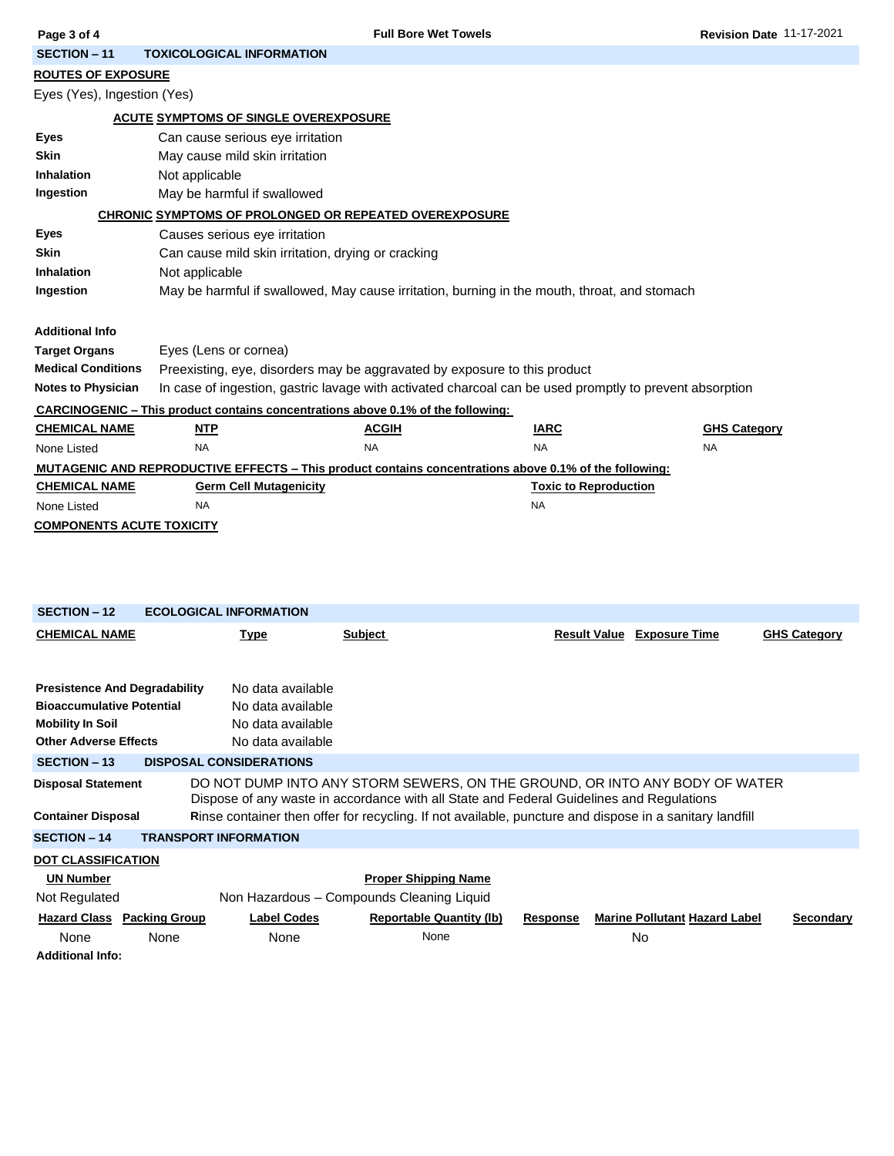| Page 3 of 4                                                                                            |                                                                                                                                      | <b>Full Bore Wet Towels</b>                                                                  |                              | Revision Date 11-17-2021 |  |  |  |  |
|--------------------------------------------------------------------------------------------------------|--------------------------------------------------------------------------------------------------------------------------------------|----------------------------------------------------------------------------------------------|------------------------------|--------------------------|--|--|--|--|
| <b>SECTION - 11</b>                                                                                    | <b>TOXICOLOGICAL INFORMATION</b>                                                                                                     |                                                                                              |                              |                          |  |  |  |  |
|                                                                                                        | <b>ROUTES OF EXPOSURE</b>                                                                                                            |                                                                                              |                              |                          |  |  |  |  |
| Eyes (Yes), Ingestion (Yes)                                                                            |                                                                                                                                      |                                                                                              |                              |                          |  |  |  |  |
| <b>ACUTE SYMPTOMS OF SINGLE OVEREXPOSURE</b>                                                           |                                                                                                                                      |                                                                                              |                              |                          |  |  |  |  |
| Eyes                                                                                                   | Can cause serious eye irritation                                                                                                     |                                                                                              |                              |                          |  |  |  |  |
| <b>Skin</b>                                                                                            | May cause mild skin irritation                                                                                                       |                                                                                              |                              |                          |  |  |  |  |
| Inhalation                                                                                             | Not applicable                                                                                                                       |                                                                                              |                              |                          |  |  |  |  |
| Ingestion                                                                                              | May be harmful if swallowed                                                                                                          |                                                                                              |                              |                          |  |  |  |  |
|                                                                                                        | <b>CHRONIC SYMPTOMS OF PROLONGED OR REPEATED OVEREXPOSURE</b>                                                                        |                                                                                              |                              |                          |  |  |  |  |
| Eyes                                                                                                   |                                                                                                                                      | Causes serious eye irritation                                                                |                              |                          |  |  |  |  |
| <b>Skin</b>                                                                                            |                                                                                                                                      | Can cause mild skin irritation, drying or cracking                                           |                              |                          |  |  |  |  |
| <b>Inhalation</b>                                                                                      | Not applicable                                                                                                                       |                                                                                              |                              |                          |  |  |  |  |
| Ingestion                                                                                              |                                                                                                                                      | May be harmful if swallowed, May cause irritation, burning in the mouth, throat, and stomach |                              |                          |  |  |  |  |
|                                                                                                        |                                                                                                                                      |                                                                                              |                              |                          |  |  |  |  |
| <b>Additional Info</b>                                                                                 |                                                                                                                                      |                                                                                              |                              |                          |  |  |  |  |
| <b>Target Organs</b>                                                                                   | Eyes (Lens or cornea)                                                                                                                |                                                                                              |                              |                          |  |  |  |  |
| <b>Medical Conditions</b>                                                                              | Preexisting, eye, disorders may be aggravated by exposure to this product                                                            |                                                                                              |                              |                          |  |  |  |  |
|                                                                                                        | In case of ingestion, gastric lavage with activated charcoal can be used promptly to prevent absorption<br><b>Notes to Physician</b> |                                                                                              |                              |                          |  |  |  |  |
| <b>CARCINOGENIC – This product contains concentrations above 0.1% of the following:</b>                |                                                                                                                                      |                                                                                              |                              |                          |  |  |  |  |
| <b>CHEMICAL NAME</b>                                                                                   | <b>NTP</b>                                                                                                                           | <b>ACGIH</b>                                                                                 | <b>IARC</b>                  | <b>GHS Category</b>      |  |  |  |  |
| None Listed                                                                                            | <b>NA</b>                                                                                                                            | <b>NA</b>                                                                                    | <b>NA</b>                    | <b>NA</b>                |  |  |  |  |
| MUTAGENIC AND REPRODUCTIVE EFFECTS – This product contains concentrations above 0.1% of the following: |                                                                                                                                      |                                                                                              |                              |                          |  |  |  |  |
| <b>CHEMICAL NAME</b>                                                                                   | <b>Germ Cell Mutagenicity</b>                                                                                                        |                                                                                              | <b>Toxic to Reproduction</b> |                          |  |  |  |  |
| None Listed                                                                                            | <b>NA</b>                                                                                                                            |                                                                                              | <b>NA</b>                    |                          |  |  |  |  |
| <b>COMPONENTS ACUTE TOXICITY</b>                                                                       |                                                                                                                                      |                                                                                              |                              |                          |  |  |  |  |
|                                                                                                        |                                                                                                                                      |                                                                                              |                              |                          |  |  |  |  |

| <b>SECTION - 12</b>                                                                                                                 |                              | <b>ECOLOGICAL INFORMATION</b>                                                    |                                                                                                                                                                         |                     |                                      |                     |
|-------------------------------------------------------------------------------------------------------------------------------------|------------------------------|----------------------------------------------------------------------------------|-------------------------------------------------------------------------------------------------------------------------------------------------------------------------|---------------------|--------------------------------------|---------------------|
| <b>CHEMICAL NAME</b>                                                                                                                |                              | <b>Type</b>                                                                      | Subject                                                                                                                                                                 | <b>Result Value</b> | <b>Exposure Time</b>                 | <b>GHS Category</b> |
|                                                                                                                                     |                              |                                                                                  |                                                                                                                                                                         |                     |                                      |                     |
| <b>Presistence And Degradability</b><br><b>Bioaccumulative Potential</b><br><b>Mobility In Soil</b><br><b>Other Adverse Effects</b> |                              | No data available<br>No data available<br>No data available<br>No data available |                                                                                                                                                                         |                     |                                      |                     |
| <b>SECTION - 13</b>                                                                                                                 |                              | <b>DISPOSAL CONSIDERATIONS</b>                                                   |                                                                                                                                                                         |                     |                                      |                     |
| <b>Disposal Statement</b>                                                                                                           |                              |                                                                                  | DO NOT DUMP INTO ANY STORM SEWERS, ON THE GROUND, OR INTO ANY BODY OF WATER<br>Dispose of any waste in accordance with all State and Federal Guidelines and Regulations |                     |                                      |                     |
| <b>Container Disposal</b>                                                                                                           |                              |                                                                                  | Rinse container then offer for recycling. If not available, puncture and dispose in a sanitary landfill                                                                 |                     |                                      |                     |
| <b>SECTION - 14</b>                                                                                                                 | <b>TRANSPORT INFORMATION</b> |                                                                                  |                                                                                                                                                                         |                     |                                      |                     |
| <b>DOT CLASSIFICATION</b>                                                                                                           |                              |                                                                                  |                                                                                                                                                                         |                     |                                      |                     |
| <b>UN Number</b>                                                                                                                    |                              |                                                                                  | <b>Proper Shipping Name</b>                                                                                                                                             |                     |                                      |                     |
| Not Regulated                                                                                                                       |                              |                                                                                  | Non Hazardous - Compounds Cleaning Liquid                                                                                                                               |                     |                                      |                     |
| <b>Hazard Class Packing Group</b>                                                                                                   |                              | <b>Label Codes</b>                                                               | <b>Reportable Quantity (lb)</b>                                                                                                                                         | <b>Response</b>     | <b>Marine Pollutant Hazard Label</b> | Secondary           |
| None                                                                                                                                | None                         | None                                                                             | None                                                                                                                                                                    |                     | <b>No</b>                            |                     |
| <b>Additional Info:</b>                                                                                                             |                              |                                                                                  |                                                                                                                                                                         |                     |                                      |                     |